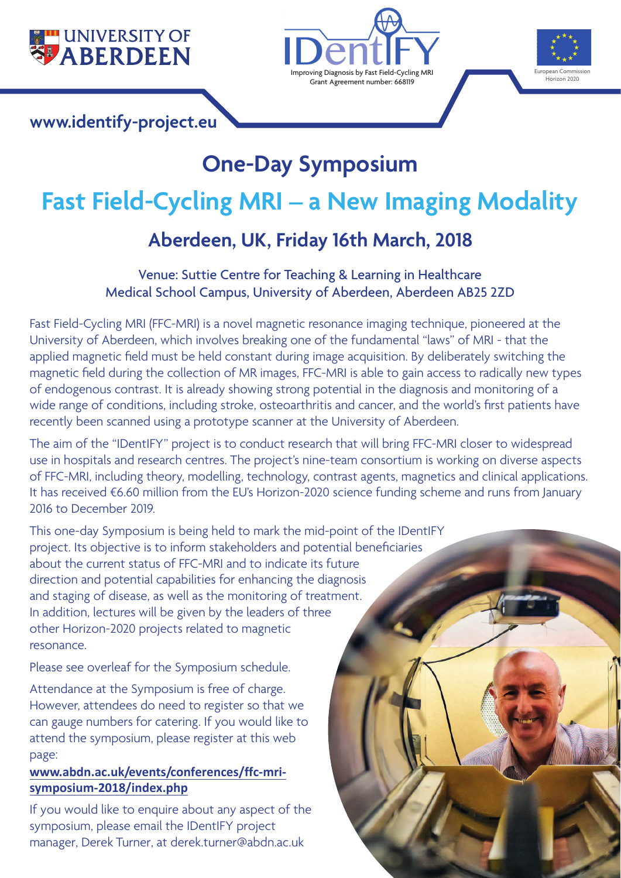

### **[www.identify-project.eu](http://www.identify-project.eu)**





# **One-Day Symposium Fast Field-Cycling MRI – a New Imaging Modality Aberdeen, UK, Friday 16th March, 2018**

#### Venue: Suttie Centre for Teaching & Learning in Healthcare Medical School Campus, University of Aberdeen, Aberdeen AB25 2ZD

Fast Field-Cycling MRI (FFC-MRI) is a novel magnetic resonance imaging technique, pioneered at the University of Aberdeen, which involves breaking one of the fundamental "laws" of MRI - that the applied magnetic field must be held constant during image acquisition. By deliberately switching the magnetic field during the collection of MR images, FFC-MRI is able to gain access to radically new types of endogenous contrast. It is already showing strong potential in the diagnosis and monitoring of a wide range of conditions, including stroke, osteoarthritis and cancer, and the world's first patients have recently been scanned using a prototype scanner at the University of Aberdeen.

The aim of the "IDentIFY" project is to conduct research that will bring FFC-MRI closer to widespread use in hospitals and research centres. The project's nine-team consortium is working on diverse aspects of FFC-MRI, including theory, modelling, technology, contrast agents, magnetics and clinical applications. It has received €6.60 million from the EU's Horizon-2020 science funding scheme and runs from January 2016 to December 2019.

This one-day Symposium is being held to mark the mid-point of the IDentIFY project. Its objective is to inform stakeholders and potential beneficiaries about the current status of FFC-MRI and to indicate its future direction and potential capabilities for enhancing the diagnosis and staging of disease, as well as the monitoring of treatment. In addition, lectures will be given by the leaders of three other Horizon-2020 projects related to magnetic resonance.

Please see overleaf for the Symposium schedule.

Attendance at the Symposium is free of charge. However, attendees do need to register so that we can gauge numbers for catering. If you would like to attend the symposium, please register at this web page:

#### **[www.abdn.ac.uk/events/conferences/ffc-mri](http://www.abdn.ac.uk/events/conferences/ffc-mri-symposium-2018/index.php)symposium[-2018/index.php](http://www.abdn.ac.uk/events/conferences/ffc-mri-symposium-2018/index.php)**

If you would like to enquire about any aspect of the symposium, please email the IDentIFY project manager, Derek Turner, at d[erek.turner@abdn.ac.uk](mailto:derek.turner@abdn.ac.uk)